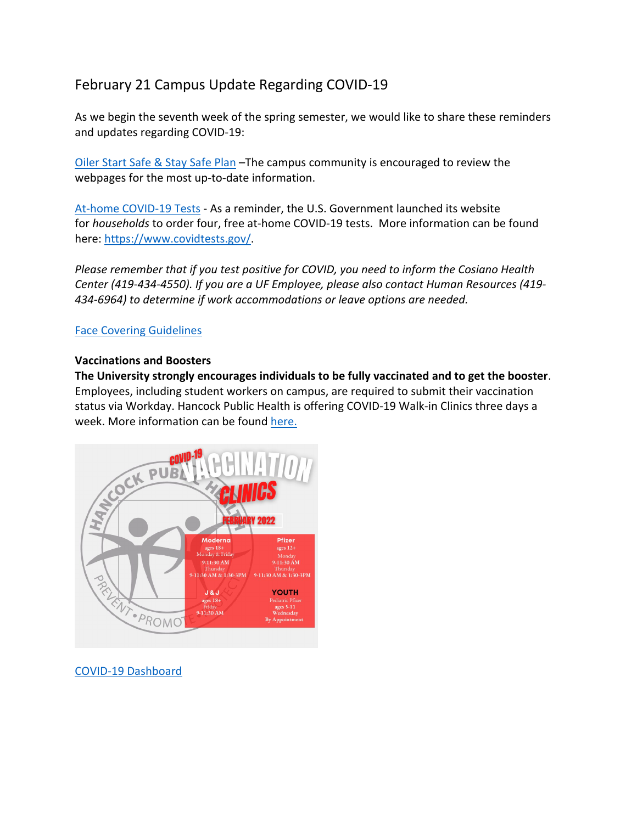# February 21 Campus Update Regarding COVID-19

As we begin the seventh week of the spring semester, we would like to share these reminders and updates regarding COVID-19:

Oiler Start Safe & Stay Safe Plan –The campus community is encouraged to review the webpages for the most up-to-date information.

At-home COVID-19 Tests - As a reminder, the U.S. Government launched its website for *households* to order four, free at-home COVID-19 tests. More information can be found here: https://www.covidtests.gov/.

*Please remember that if you test positive for COVID, you need to inform the Cosiano Health Center (419-434-4550). If you are a UF Employee, please also contact Human Resources (419- 434-6964) to determine if work accommodations or leave options are needed.*

### Face Covering Guidelines

#### **Vaccinations and Boosters**

**The University strongly encourages individuals to be fully vaccinated and to get the booster**. Employees, including student workers on campus, are required to submit their vaccination status via Workday. Hancock Public Health is offering COVID-19 Walk-in Clinics three days a week. More information can be found here.



COVID-19 Dashboard